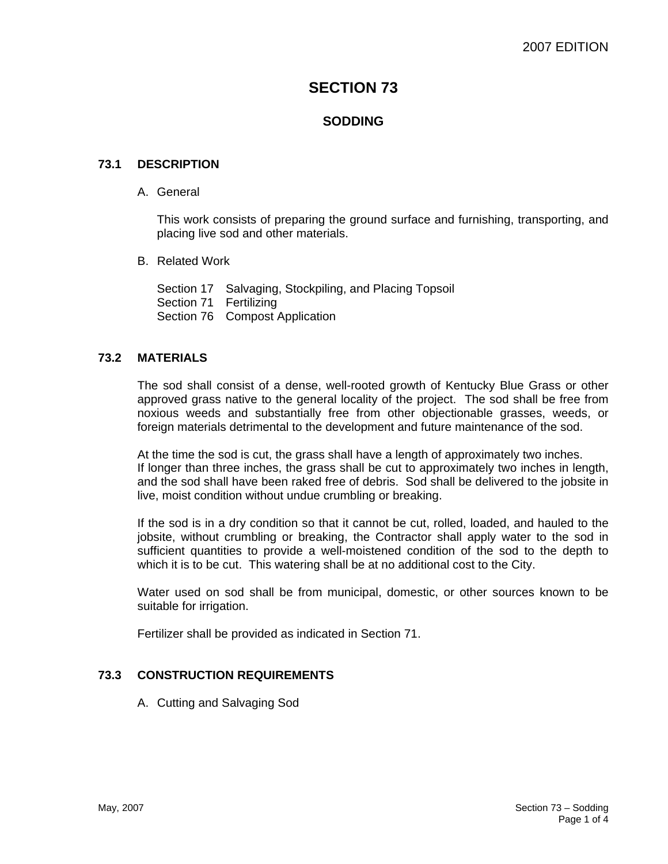# **SECTION 73**

# **SODDING**

## **73.1 DESCRIPTION**

A. General

This work consists of preparing the ground surface and furnishing, transporting, and placing live sod and other materials.

B. Related Work

Section 17 Salvaging, Stockpiling, and Placing Topsoil

Section 71 Fertilizing

Section 76 Compost Application

#### **73.2 MATERIALS**

The sod shall consist of a dense, well-rooted growth of Kentucky Blue Grass or other approved grass native to the general locality of the project. The sod shall be free from noxious weeds and substantially free from other objectionable grasses, weeds, or foreign materials detrimental to the development and future maintenance of the sod.

At the time the sod is cut, the grass shall have a length of approximately two inches. If longer than three inches, the grass shall be cut to approximately two inches in length, and the sod shall have been raked free of debris. Sod shall be delivered to the jobsite in live, moist condition without undue crumbling or breaking.

If the sod is in a dry condition so that it cannot be cut, rolled, loaded, and hauled to the jobsite, without crumbling or breaking, the Contractor shall apply water to the sod in sufficient quantities to provide a well-moistened condition of the sod to the depth to which it is to be cut. This watering shall be at no additional cost to the City.

Water used on sod shall be from municipal, domestic, or other sources known to be suitable for irrigation.

Fertilizer shall be provided as indicated in Section 71.

#### **73.3 CONSTRUCTION REQUIREMENTS**

A. Cutting and Salvaging Sod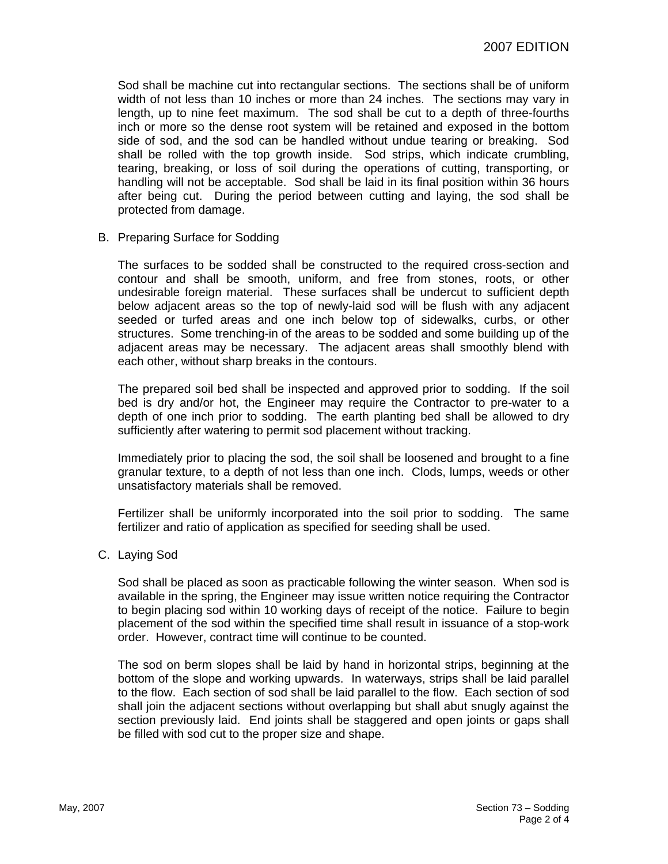Sod shall be machine cut into rectangular sections. The sections shall be of uniform width of not less than 10 inches or more than 24 inches. The sections may vary in length, up to nine feet maximum. The sod shall be cut to a depth of three-fourths inch or more so the dense root system will be retained and exposed in the bottom side of sod, and the sod can be handled without undue tearing or breaking. Sod shall be rolled with the top growth inside. Sod strips, which indicate crumbling, tearing, breaking, or loss of soil during the operations of cutting, transporting, or handling will not be acceptable. Sod shall be laid in its final position within 36 hours after being cut. During the period between cutting and laying, the sod shall be protected from damage.

B. Preparing Surface for Sodding

The surfaces to be sodded shall be constructed to the required cross-section and contour and shall be smooth, uniform, and free from stones, roots, or other undesirable foreign material. These surfaces shall be undercut to sufficient depth below adjacent areas so the top of newly-laid sod will be flush with any adjacent seeded or turfed areas and one inch below top of sidewalks, curbs, or other structures. Some trenching-in of the areas to be sodded and some building up of the adjacent areas may be necessary. The adjacent areas shall smoothly blend with each other, without sharp breaks in the contours.

The prepared soil bed shall be inspected and approved prior to sodding. If the soil bed is dry and/or hot, the Engineer may require the Contractor to pre-water to a depth of one inch prior to sodding. The earth planting bed shall be allowed to dry sufficiently after watering to permit sod placement without tracking.

Immediately prior to placing the sod, the soil shall be loosened and brought to a fine granular texture, to a depth of not less than one inch. Clods, lumps, weeds or other unsatisfactory materials shall be removed.

Fertilizer shall be uniformly incorporated into the soil prior to sodding. The same fertilizer and ratio of application as specified for seeding shall be used.

C. Laying Sod

Sod shall be placed as soon as practicable following the winter season. When sod is available in the spring, the Engineer may issue written notice requiring the Contractor to begin placing sod within 10 working days of receipt of the notice. Failure to begin placement of the sod within the specified time shall result in issuance of a stop-work order. However, contract time will continue to be counted.

The sod on berm slopes shall be laid by hand in horizontal strips, beginning at the bottom of the slope and working upwards. In waterways, strips shall be laid parallel to the flow. Each section of sod shall be laid parallel to the flow. Each section of sod shall join the adjacent sections without overlapping but shall abut snugly against the section previously laid. End joints shall be staggered and open joints or gaps shall be filled with sod cut to the proper size and shape.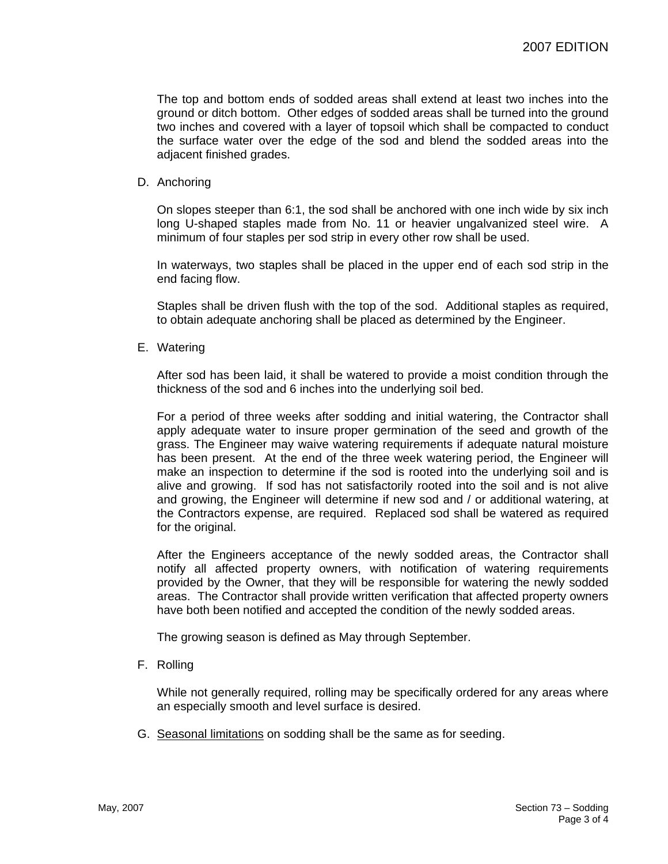The top and bottom ends of sodded areas shall extend at least two inches into the ground or ditch bottom. Other edges of sodded areas shall be turned into the ground two inches and covered with a layer of topsoil which shall be compacted to conduct the surface water over the edge of the sod and blend the sodded areas into the adjacent finished grades.

D. Anchoring

On slopes steeper than 6:1, the sod shall be anchored with one inch wide by six inch long U-shaped staples made from No. 11 or heavier ungalvanized steel wire. A minimum of four staples per sod strip in every other row shall be used.

In waterways, two staples shall be placed in the upper end of each sod strip in the end facing flow.

Staples shall be driven flush with the top of the sod. Additional staples as required, to obtain adequate anchoring shall be placed as determined by the Engineer.

E. Watering

After sod has been laid, it shall be watered to provide a moist condition through the thickness of the sod and 6 inches into the underlying soil bed.

For a period of three weeks after sodding and initial watering, the Contractor shall apply adequate water to insure proper germination of the seed and growth of the grass. The Engineer may waive watering requirements if adequate natural moisture has been present. At the end of the three week watering period, the Engineer will make an inspection to determine if the sod is rooted into the underlying soil and is alive and growing. If sod has not satisfactorily rooted into the soil and is not alive and growing, the Engineer will determine if new sod and / or additional watering, at the Contractors expense, are required. Replaced sod shall be watered as required for the original.

After the Engineers acceptance of the newly sodded areas, the Contractor shall notify all affected property owners, with notification of watering requirements provided by the Owner, that they will be responsible for watering the newly sodded areas. The Contractor shall provide written verification that affected property owners have both been notified and accepted the condition of the newly sodded areas.

The growing season is defined as May through September.

F. Rolling

While not generally required, rolling may be specifically ordered for any areas where an especially smooth and level surface is desired.

G. Seasonal limitations on sodding shall be the same as for seeding.